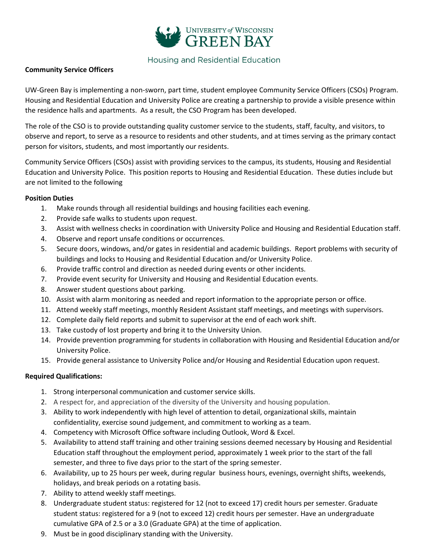

## Housing and Residential Education

### **Community Service Officers**

UW-Green Bay is implementing a non-sworn, part time, student employee Community Service Officers (CSOs) Program. Housing and Residential Education and University Police are creating a partnership to provide a visible presence within the residence halls and apartments. As a result, the CSO Program has been developed.

The role of the CSO is to provide outstanding quality customer service to the students, staff, faculty, and visitors, to observe and report, to serve as a resource to residents and other students, and at times serving as the primary contact person for visitors, students, and most importantly our residents.

Community Service Officers (CSOs) assist with providing services to the campus, its students, Housing and Residential Education and University Police. This position reports to Housing and Residential Education. These duties include but are not limited to the following

### **Position Duties**

- 1. Make rounds through all residential buildings and housing facilities each evening.
- 2. Provide safe walks to students upon request.
- 3. Assist with wellness checks in coordination with University Police and Housing and Residential Education staff.
- 4. Observe and report unsafe conditions or occurrences.
- 5. Secure doors, windows, and/or gates in residential and academic buildings. Report problems with security of buildings and locks to Housing and Residential Education and/or University Police.
- 6. Provide traffic control and direction as needed during events or other incidents.
- 7. Provide event security for University and Housing and Residential Education events.
- 8. Answer student questions about parking.
- 10. Assist with alarm monitoring as needed and report information to the appropriate person or office.
- 11. Attend weekly staff meetings, monthly Resident Assistant staff meetings, and meetings with supervisors.
- 12. Complete daily field reports and submit to supervisor at the end of each work shift.
- 13. Take custody of lost property and bring it to the University Union.
- 14. Provide prevention programming for students in collaboration with Housing and Residential Education and/or University Police.
- 15. Provide general assistance to University Police and/or Housing and Residential Education upon request.

### **Required Qualifications:**

- 1. Strong interpersonal communication and customer service skills.
- 2. A respect for, and appreciation of the diversity of the University and housing population.
- 3. Ability to work independently with high level of attention to detail, organizational skills, maintain confidentiality, exercise sound judgement, and commitment to working as a team.
- 4. Competency with Microsoft Office software including Outlook, Word & Excel.
- 5. Availability to attend staff training and other training sessions deemed necessary by Housing and Residential Education staff throughout the employment period, approximately 1 week prior to the start of the fall semester, and three to five days prior to the start of the spring semester.
- 6. Availability, up to 25 hours per week, during regular business hours, evenings, overnight shifts, weekends, holidays, and break periods on a rotating basis.
- 7. Ability to attend weekly staff meetings.
- 8. Undergraduate student status: registered for 12 (not to exceed 17) credit hours per semester. Graduate student status: registered for a 9 (not to exceed 12) credit hours per semester. Have an undergraduate cumulative GPA of 2.5 or a 3.0 (Graduate GPA) at the time of application.
- 9. Must be in good disciplinary standing with the University.